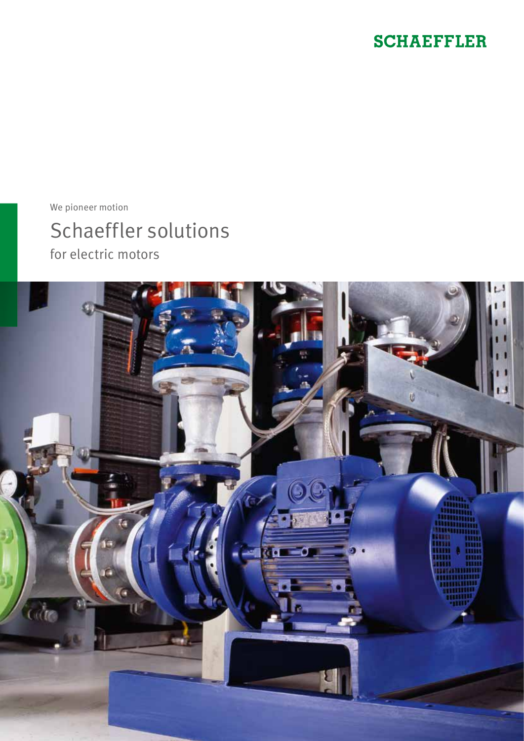# **SCHAEFFLER**

We pioneer motion

Schaeffler solutions for electric motors

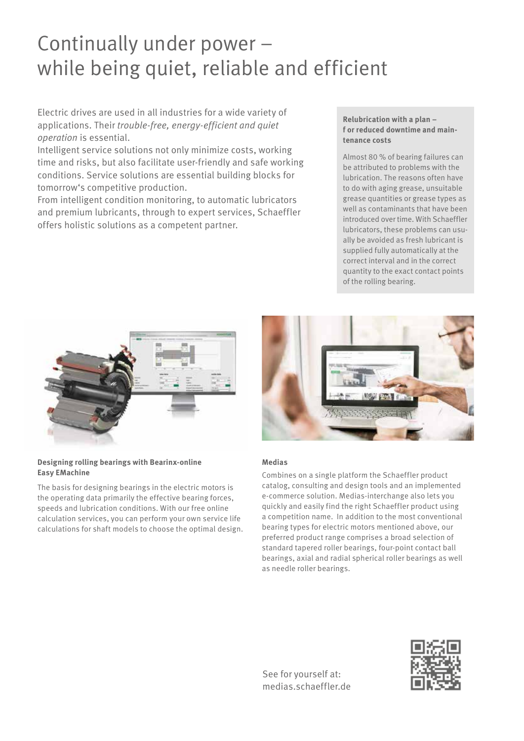# Continually under power – while being quiet, reliable and efficient

Electric drives are used in all industries for a wide variety of applications. Their *trouble-free, energy-efficient and quiet operation* is essential.

Intelligent service solutions not only minimize costs, working time and risks, but also facilitate user-friendly and safe working conditions. Service solutions are essential building blocks for tomorrow's competitive production.

From intelligent condition monitoring, to automatic lubricators and premium lubricants, through to expert services, Schaeffler offers holistic solutions as a competent partner.

#### **Relubrication with a plan – f or reduced downtime and maintenance costs**

Almost 80 % of bearing failures can be attributed to problems with the lubrication. The reasons often have to do with aging grease, unsuitable grease quantities or grease types as well as contaminants that have been introduced over time. With Schaeffler lubricators, these problems can usually be avoided as fresh lubricant is supplied fully automatically at the correct interval and in the correct quantity to the exact contact points of the rolling bearing.



#### **Designing rolling bearings with Bearinx-online Easy EMachine**

The basis for designing bearings in the electric motors is the operating data primarily the effective bearing forces, speeds and lubrication conditions. With our free online calculation services, you can perform your own service life calculations for shaft models to choose the optimal design.



### **Medias**

Combines on a single platform the Schaeffler product catalog, consulting and design tools and an implemented e-commerce solution. Medias-interchange also lets you quickly and easily find the right Schaeffler product using a competition name. In addition to the most conventional bearing types for electric motors mentioned above, our preferred product range comprises a broad selection of standard tapered roller bearings, four-point contact ball bearings, axial and radial spherical roller bearings as well as needle roller bearings.

See for yourself at: medias.schaeffler.de

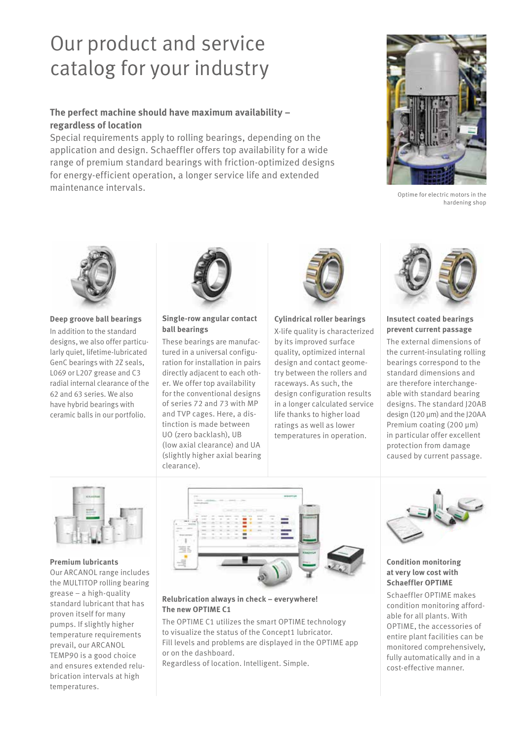# Our product and service catalog for your industry

## **The perfect machine should have maximum availability – regardless of location**

Special requirements apply to rolling bearings, depending on the application and design. Schaeffler offers top availability for a wide range of premium standard bearings with friction-optimized designs for energy-efficient operation, a longer service life and extended maintenance intervals.



Optime for electric motors in the hardening shop



#### **Deep groove ball bearings**

In addition to the standard designs, we also offer particularly quiet, lifetime-lubricated GenC bearings with 2Z seals, L069 or L207 grease and C3 radial internal clearance of the 62 and 63 series. We also have hybrid bearings with ceramic balls in our portfolio.



#### **Single-row angular contact ball bearings**

These bearings are manufactured in a universal configuration for installation in pairs directly adjacent to each other. We offer top availability for the conventional designs of series 72 and 73 with MP and TVP cages. Here, a distinction is made between UO (zero backlash), UB (low axial clearance) and UA (slightly higher axial bearing clearance).



#### **Cylindrical roller bearings**

X-life quality is characterized by its improved surface quality, optimized internal design and contact geometry between the rollers and raceways. As such, the design configuration results in a longer calculated service life thanks to higher load ratings as well as lower temperatures in operation.



#### **Insutect coated bearings prevent current passage**

The external dimensions of the current-insulating rolling bearings correspond to the standard dimensions and are therefore interchangeable with standard bearing designs. The standard J20AB design (120 µm) and the J20AA Premium coating (200 µm) in particular offer excellent protection from damage caused by current passage.



#### **Premium lubricants**

Our ARCANOL range includes the MULTITOP rolling bearing grease – a high-quality standard lubricant that has proven itself for many pumps. If slightly higher temperature requirements prevail, our ARCANOL TEMP90 is a good choice and ensures extended relubrication intervals at high temperatures.



#### **Relubrication always in check – everywhere! The new OPTIME C1**

The OPTIME C1 utilizes the smart OPTIME technology to visualize the status of the Concept1 lubricator. Fill levels and problems are displayed in the OPTIME app or on the dashboard.

Regardless of location. Intelligent. Simple.



#### **Condition monitoring at very low cost with Schaeffler OPTIME**

Schaeffler OPTIME makes condition monitoring affordable for all plants. With OPTIME, the accessories of entire plant facilities can be monitored comprehensively, fully automatically and in a cost-effective manner.